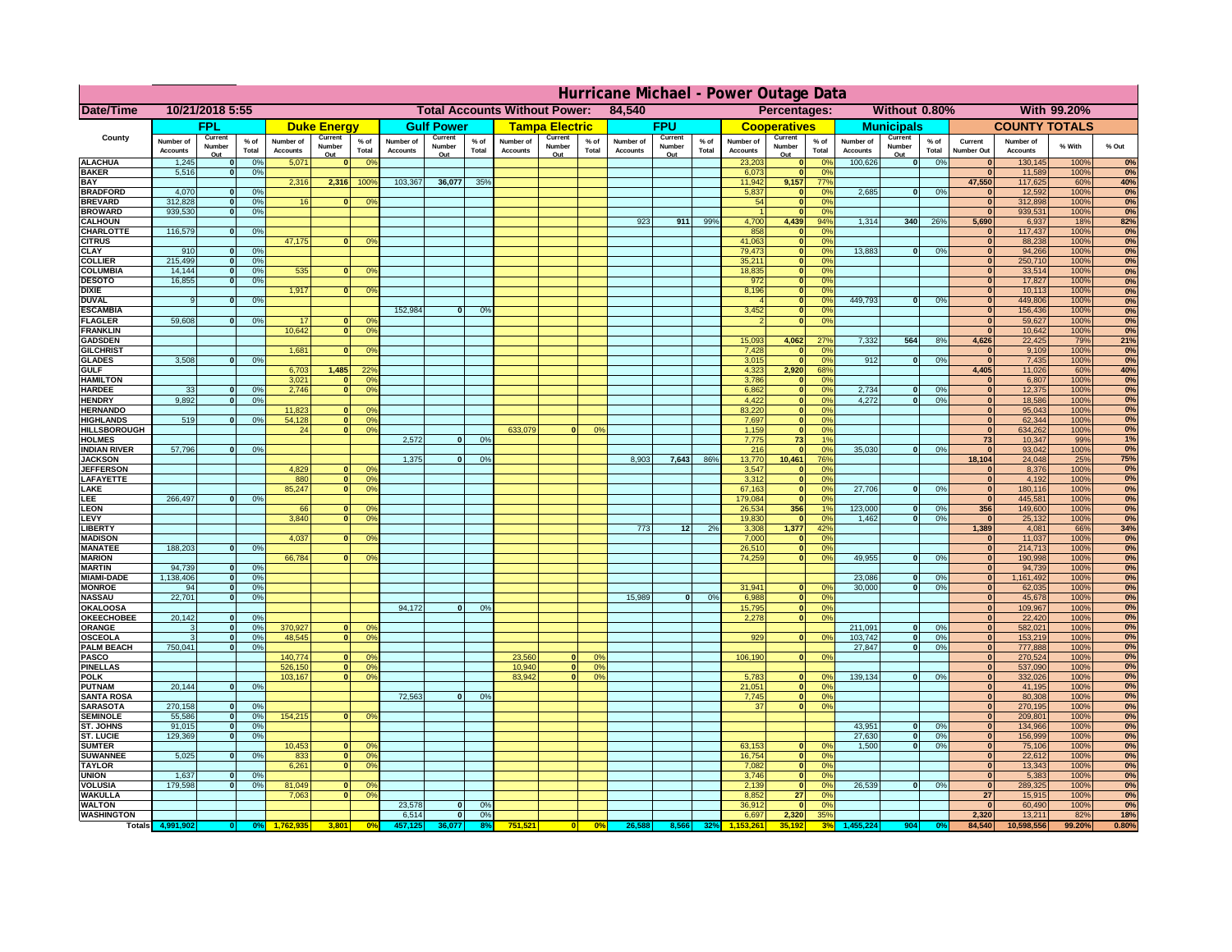|                                      | Hurricane Michael - Power Outage Data |                             |                 |                              |                              |                                   |                                                |                   |                |                              |                       |                                              |                              |                   |                 |                              |                     |                                  |                              |                         |                 |                              |                              |              |           |
|--------------------------------------|---------------------------------------|-----------------------------|-----------------|------------------------------|------------------------------|-----------------------------------|------------------------------------------------|-------------------|----------------|------------------------------|-----------------------|----------------------------------------------|------------------------------|-------------------|-----------------|------------------------------|---------------------|----------------------------------|------------------------------|-------------------------|-----------------|------------------------------|------------------------------|--------------|-----------|
| Date/Time                            | 10/21/2018 5:55                       |                             |                 |                              |                              |                                   | <b>Total Accounts Without Power:</b><br>84,540 |                   |                |                              |                       | Without 0.80%<br>With 99.20%<br>Percentages: |                              |                   |                 |                              |                     |                                  |                              |                         |                 |                              |                              |              |           |
|                                      |                                       | FPL                         |                 |                              | <b>Duke Energy</b>           |                                   |                                                | <b>Gulf Power</b> |                |                              | <b>Tampa Electric</b> |                                              |                              | <b>FPU</b>        |                 |                              | <b>Cooperatives</b> |                                  |                              | <b>Municipals</b>       |                 |                              | <b>COUNTY TOTALS</b>         |              |           |
| County                               | Number of<br><b>Accounts</b>          | Current<br>Number           | $%$ of<br>Total | Number of<br><b>Accounts</b> | Current<br>Number            | $%$ of<br>Total                   | Number of<br><b>Accounts</b>                   | Current<br>Number | % of<br>Total  | Number of<br><b>Accounts</b> | Current<br>Number     | $%$ of<br>Total                              | Number of<br><b>Accounts</b> | Current<br>Number | $%$ of<br>Total | Number of<br><b>Accounts</b> | Current<br>Number   | $%$ of<br>Total                  | Number of<br><b>Accounts</b> | Current<br>Number       | $%$ of<br>Total | Current<br><b>Number Out</b> | Number of<br><b>Accounts</b> | % With       | % Out     |
| <b>ALACHUA</b>                       | 1,245                                 | Out<br>$\mathbf{0}$         | 0%              | 5,071                        | Out<br>$\mathbf{0}$          | 0 <sup>9</sup>                    |                                                | Out               |                |                              | Out                   |                                              |                              | Out               |                 | 23,203                       | Out<br> 0           | 0 <sup>9</sup>                   | 100,626                      | Out<br> 0               | 0%              | $\bf{0}$                     | 130,145                      | 100%         | 0%        |
| <b>BAKER</b>                         | 5,516                                 | 0                           | 0%              |                              |                              |                                   |                                                |                   |                |                              |                       |                                              |                              |                   |                 | 6,073                        | 0                   | 0%                               |                              |                         |                 | $\overline{0}$               | 11,589                       | 100%         | 0%        |
| <b>BAY</b><br><b>BRADFORD</b>        | 4,070                                 | $\mathbf{0}$                | 0%              | 2,316                        | 2,316                        | 100%                              | 103,367                                        | 36,077            | 35%            |                              |                       |                                              |                              |                   |                 | 11,942<br>5,837              | 9,157               | 77%<br>0%                        | 2,685                        | 0                       | 0%              | 47,550<br>$\bf{0}$           | 117,625<br>12,592            | 60%<br>100%  | 40%<br>0% |
| <b>BREVARD</b>                       | 312,828                               | 0                           | 0%              | 16                           | $\mathbf{0}$                 | 0 <sup>o</sup>                    |                                                |                   |                |                              |                       |                                              |                              |                   |                 | 54                           | 0 <br> 0            | 0%                               |                              |                         |                 | 0                            | 312,898                      | 100%         | 0%        |
| <b>BROWARD</b>                       | 939.530                               | 0                           | 0%              |                              |                              |                                   |                                                |                   |                |                              |                       |                                              |                              |                   |                 |                              | 0                   | 0%                               |                              |                         |                 | $\bf{0}$                     | 939,531                      | 100%         | 0%        |
| <b>CALHOUN</b>                       |                                       |                             |                 |                              |                              |                                   |                                                |                   |                |                              |                       |                                              | 923                          | 911               | 99%             | 4,700                        | 4,439               | 94%                              | 1,314                        | 340                     | 26%             | 5,690                        | 6,937                        | 18%          | 82%       |
| CHARLOTTE<br><b>CITRUS</b>           | 116,579                               | 0                           | 0%              | 47,175                       | $\mathbf{0}$                 | 0 <sup>o</sup>                    |                                                |                   |                |                              |                       |                                              |                              |                   |                 | 858<br>41,063                | 0 <br> 0            | 0 <sup>9</sup><br>0 <sup>9</sup> |                              |                         |                 | $\bf{0}$<br>$\bf{0}$         | 117,437<br>88,238            | 100%<br>100% | 0%<br>0%  |
| <b>CLAY</b>                          | 910                                   | $\mathbf{0}$                | 0%              |                              |                              |                                   |                                                |                   |                |                              |                       |                                              |                              |                   |                 | 79,473                       | 0                   | 0%                               | 13,883                       | $\mathbf{0}$            | 0%              | $\bf{0}$                     | 94,266                       | 100%         | 0%        |
| <b>COLLIER</b>                       | 215,499                               | $\mathbf{0}$                | 0 <sup>9</sup>  |                              |                              |                                   |                                                |                   |                |                              |                       |                                              |                              |                   |                 | 35,211                       | 0                   | 0%                               |                              |                         |                 | $\bf{0}$                     | 250,710                      | 100%         | 0%        |
| <b>COLUMBIA</b><br><b>DESOTO</b>     | 14,144<br>16,855                      | $\mathbf 0$<br>$\mathbf{0}$ | 0%<br>0%        | 535                          | $\mathbf{0}$                 | 0 <sup>9</sup>                    |                                                |                   |                |                              |                       |                                              |                              |                   |                 | 18,835<br>972                | 0 <br> 0            | 0%<br>0%                         |                              |                         |                 | $\bf{0}$<br>$\bf{0}$         | 33,514<br>17,827             | 100%<br>100% | 0%<br>0%  |
| <b>DIXIE</b>                         |                                       |                             |                 | 1,917                        | $\Omega$                     | 0 <sup>9</sup>                    |                                                |                   |                |                              |                       |                                              |                              |                   |                 | 8,196                        | 0                   | 0%                               |                              |                         |                 | $\Omega$                     | 10,113                       | 100%         | 0%        |
| <b>DUVAL</b>                         | 9                                     | $\Omega$                    | 0%              |                              |                              |                                   |                                                |                   |                |                              |                       |                                              |                              |                   |                 |                              | 0                   | 0%                               | 449.793                      | $\overline{0}$          | 0%              | $\Omega$                     | 449,806                      | 100%         | 0%        |
| <b>ESCAMBIA</b>                      |                                       |                             |                 |                              |                              |                                   | 152,984                                        | $\mathbf{0}$      | 0 <sup>9</sup> |                              |                       |                                              |                              |                   |                 | 3,452                        | 0                   | 0%                               |                              |                         |                 | $\Omega$                     | 156,436                      | 100%         | 0%        |
| <b>FLAGLER</b><br><b>FRANKLIN</b>    | 59,608                                | $\overline{0}$              | 0%              | 17<br>10,642                 | $\bf{0}$<br> 0               | 0 <sup>o</sup><br>0 <sup>9</sup>  |                                                |                   |                |                              |                       |                                              |                              |                   |                 |                              | 0                   | 0%                               |                              |                         |                 | $\mathbf{0}$<br>$\Omega$     | 59,627<br>10,642             | 100%<br>100% | 0%<br>0%  |
| <b>GADSDEN</b>                       |                                       |                             |                 |                              |                              |                                   |                                                |                   |                |                              |                       |                                              |                              |                   |                 | 15,093                       | 4,062               | 27%                              | 7,332                        | 564                     | 8%              | 4,626                        | 22,425                       | 79%          | 21%       |
| <b>GILCHRIST</b>                     |                                       |                             |                 | 1,681                        | $\mathbf{0}$                 | 0 <sup>9</sup>                    |                                                |                   |                |                              |                       |                                              |                              |                   |                 | 7,428                        | 0                   | 0%                               |                              |                         |                 | $\mathbf{0}$                 | 9,109                        | 100%         | 0%        |
| <b>GLADES</b><br><b>GULF</b>         | 3,508                                 | 0                           | 0%              |                              | 1,485                        |                                   |                                                |                   |                |                              |                       |                                              |                              |                   |                 | 3,015                        | 0 <br>2,920         | 0%<br>68%                        | 912                          | $\overline{0}$          | 0%              | 0 <br>4,405                  | 7,435                        | 100%<br>60%  | 0%<br>40% |
| <b>HAMILTON</b>                      |                                       |                             |                 | 6,703<br>3,021               | $\Omega$                     | 22 <sup>o</sup><br>0 <sup>9</sup> |                                                |                   |                |                              |                       |                                              |                              |                   |                 | 4,323<br>3,786               | 0                   | 0%                               |                              |                         |                 | $\Omega$                     | 11,026<br>6,807              | 100%         | 0%        |
| <b>HARDEE</b>                        | 33                                    | $\overline{0}$              | 0%              | 2.746                        | $\overline{0}$               | 0 <sup>9</sup>                    |                                                |                   |                |                              |                       |                                              |                              |                   |                 | 6.862                        | $\overline{0}$      | 0%                               | 2.734                        | $\mathbf{0}$            | 0%              | 0                            | 12,375                       | 100%         | 0%        |
| <b>HENDRY</b>                        | 9,892                                 | $\Omega$                    | 0%              |                              |                              |                                   |                                                |                   |                |                              |                       |                                              |                              |                   |                 | 4,422                        | 0                   | 0%                               | 4,272                        | $\Omega$                | 0%              | 0                            | 18,586                       | 100%         | 0%        |
| <b>HERNANDO</b><br><b>HIGHLANDS</b>  | 519                                   | $\mathbf{0}$                |                 | 11,823<br>54,128             | $\mathbf{0}$<br> 0           | 0 <sup>9</sup><br>0 <sup>9</sup>  |                                                |                   |                |                              |                       |                                              |                              |                   |                 | 83,220<br>7,697              | 0 <br> 0            | 0%<br>0%                         |                              |                         |                 | 0 <br>$\mathbf{0}$           | 95,043<br>62,344             | 100%<br>100% | 0%<br>0%  |
| <b>HILLSBOROUGH</b>                  |                                       |                             | 0 <sup>9</sup>  | 24                           | 0                            | 0 <sup>9</sup>                    |                                                |                   |                | 633,079                      |                       | 0%                                           |                              |                   |                 | 1,159                        | 0                   | 0%                               |                              |                         |                 | 0                            | 634,262                      | 100%         | 0%        |
| <b>HOLMES</b>                        |                                       |                             |                 |                              |                              |                                   | 2.572                                          | $\mathbf{0}$      | 0%             |                              |                       |                                              |                              |                   |                 | 7.775                        | 73                  | 1%                               |                              |                         |                 | 73                           | 10,347                       | 99%          | 1%        |
| <b>INDIAN RIVER</b>                  | 57,796                                | $\mathbf{0}$                | 0%              |                              |                              |                                   |                                                |                   |                |                              |                       |                                              |                              |                   |                 | 216                          | 0                   | 0%                               | 35,030                       | $\mathbf{0}$            | 0%              | $\mathbf{0}$                 | 93,042                       | 100%         | 0%        |
| <b>JACKSON</b><br><b>JEFFERSON</b>   |                                       |                             |                 | 4.829                        | n l                          | 0 <sup>9</sup>                    | 1.375                                          | $\mathbf{0}$      | 0 <sup>9</sup> |                              |                       |                                              | 8.903                        | 7,643             | 86%             | 13,770<br>3.547              | 10.461<br> 0        | 76%<br>0%                        |                              |                         |                 | 18.104<br> 0                 | 24,048<br>8.376              | 25%<br>100%  | 75%<br>0% |
| LAFAYETTE                            |                                       |                             |                 | 880                          | 0                            | 0 <sup>9</sup>                    |                                                |                   |                |                              |                       |                                              |                              |                   |                 | 3.312                        | 0                   | 0%                               |                              |                         |                 | 0                            | 4,192                        | 100%         | 0%        |
| LAKE                                 |                                       |                             |                 | 85,247                       | $\mathbf{0}$                 | 0 <sup>9</sup>                    |                                                |                   |                |                              |                       |                                              |                              |                   |                 | 67,163                       | 0                   | 0%                               | 27,706                       | $\Omega$                | 0%              | 0                            | 180,116                      | 100%         | 0%        |
| EE.                                  | 266,497                               | 0                           | 0%              |                              |                              |                                   |                                                |                   |                |                              |                       |                                              |                              |                   |                 | 179,084                      | 0                   | 0%                               |                              |                         |                 | 0                            | 445,581                      | 100%         | 0%        |
| <b>EON</b><br>LEVY                   |                                       |                             |                 | 66<br>3,840                  | $\mathbf{0}$<br>$\Omega$     | 0 <sup>o</sup><br>0 <sup>9</sup>  |                                                |                   |                |                              |                       |                                              |                              |                   |                 | 26,534<br>19,830             | 356<br> 0           | 1%<br>0%                         | 123,000<br>1,462             | $\mathbf{0}$<br>-ol     | 0%<br>0%        | 356<br> 0                    | 149,600<br>25,132            | 100%<br>100% | 0%<br>0%  |
| LIBERTY                              |                                       |                             |                 |                              |                              |                                   |                                                |                   |                |                              |                       |                                              | 773                          | 12                | 2%              | 3,308                        | 1,377               | 42%                              |                              |                         |                 | 1,389                        | 4,081                        | 66%          | 34%       |
| <b>MADISON</b>                       |                                       |                             |                 | 4,037                        | $\Omega$                     | 0 <sup>9</sup>                    |                                                |                   |                |                              |                       |                                              |                              |                   |                 | 7,000                        | 0                   | 0%                               |                              |                         |                 | $\Omega$                     | 11,037                       | 100%         | 0%        |
| <b>MANATEE</b>                       | 188,203                               | 0                           | 0%              |                              |                              |                                   |                                                |                   |                |                              |                       |                                              |                              |                   |                 | 26,510                       | 0                   | 0%                               | 49,955                       | nl                      |                 | 0                            | 214,713                      | 100%         | 0%<br>0%  |
| <b>MARION</b><br><b>MARTIN</b>       | 94,739                                | 0                           | 0%              | 66,784                       | 0                            | 0 <sup>9</sup>                    |                                                |                   |                |                              |                       |                                              |                              |                   |                 | 74,259                       | 0                   | 0%                               |                              |                         | 0%              | 0 <br> 0                     | 190,998<br>94,739            | 100%<br>100% | 0%        |
| <b>MIAMI-DADE</b>                    | 1,138,406                             | 0                           | 0%              |                              |                              |                                   |                                                |                   |                |                              |                       |                                              |                              |                   |                 |                              |                     |                                  | 23,086                       | $\mathbf{0}$            | 0%              | 0                            | 1,161,492                    | 100%         | 0%        |
| <b>MONROE</b>                        | 94                                    | 0                           | 0%              |                              |                              |                                   |                                                |                   |                |                              |                       |                                              |                              |                   |                 | 31,941                       | $\overline{0}$      | 0 <sup>9</sup>                   | 30,000                       | 0                       | 0%              | 0                            | 62,035                       | 100%         | 0%        |
| <b>NASSAU</b>                        | 22,701                                | 0                           | 0%              |                              |                              |                                   | 94,172                                         | $\mathbf{0}$      |                |                              |                       |                                              | 15,989                       | 0                 | 0%              | 6,988                        | 0                   | 0%                               |                              |                         |                 | 0                            | 45,678                       | 100%         | 0%<br>0%  |
| <b>OKALOOSA</b><br><b>OKEECHOBEE</b> | 20,142                                | 0                           | 0%              |                              |                              |                                   |                                                |                   | 0%             |                              |                       |                                              |                              |                   |                 | 15,795<br>2,278              | 0                   | 0%<br>0%<br> 0                   |                              |                         |                 | 0 <br> 0                     | 109,967<br>22,420            | 100%<br>100% | 0%        |
| ORANGE                               | 3                                     | 0                           | 0%              | 370,927                      | 0                            | 0 <sup>o</sup>                    |                                                |                   |                |                              |                       |                                              |                              |                   |                 |                              |                     |                                  | 211,091                      | $\mathbf{0}$            | 0%              | 0                            | 582,021                      | 100%         | 0%        |
| <b>OSCEOLA</b>                       | 3                                     | 0                           | 0%              | 48,545                       | 0                            | 0 <sup>9</sup>                    |                                                |                   |                |                              |                       |                                              |                              |                   |                 | 929                          |                     | 0 <br>0%                         | 103,742                      | 0                       | 0%              | 0                            | 153,219                      | 100%         | 0%        |
| <b>PALM BEACH</b><br>PASCO           | 750,041                               | 0                           | 0%              | 140,774                      | $\Omega$                     | 0 <sup>9</sup>                    |                                                |                   |                | 23,560                       | $\Omega$              | $^{\circ}$                                   |                              |                   |                 | 106,190                      |                     | 0 <br>0%                         | 27,847                       | $\overline{\mathbf{0}}$ | 0%              | 0 <br> 0                     | 777,888<br>270,524           | 100%<br>100% | 0%<br>0%  |
| <b>PINELLAS</b>                      |                                       |                             |                 | 526,150                      | 0                            | 0 <sup>9</sup>                    |                                                |                   |                | 10,940                       | 0                     | 0%                                           |                              |                   |                 |                              |                     |                                  |                              |                         |                 | $\Omega$                     | 537,090                      | 100%         | 0%        |
| <b>POLK</b>                          |                                       |                             |                 | 103,167                      | 0                            | 0 <sup>9</sup>                    |                                                |                   |                | 83,942                       | $\mathbf{a}$          | 0%                                           |                              |                   |                 | 5,783                        | 0                   | $\Omega$                         | 139,134                      | 0                       | 0%              | 0                            | 332,026                      | 100%         | 0%        |
| <b>PUTNAM</b>                        | 20,144                                | 0                           | 0%              |                              |                              |                                   |                                                |                   |                |                              |                       |                                              |                              |                   |                 | 21,051                       | $\ddot{\text{o}}$   | 0%                               |                              |                         |                 | $\bf{0}$                     | 41,195                       | 100%         | 0%        |
| <b>SANTA ROSA</b><br><b>SARASOTA</b> | 270,158                               | 0                           | 0%              |                              |                              |                                   | 72,563                                         | 0                 | 0%             |                              |                       |                                              |                              |                   |                 | 7,745<br>37                  | 0                   | 0%<br> 0 <br>0%                  |                              |                         |                 | $\mathbf{0}$<br> 0           | 80,308<br>270,195            | 100%<br>100% | 0%<br>0%  |
| <b>SEMINOLE</b>                      | 55,586                                | 0                           | 0%              | 154,215                      | $\mathbf{0}$                 | 0 <sup>9</sup>                    |                                                |                   |                |                              |                       |                                              |                              |                   |                 |                              |                     |                                  |                              |                         |                 | 0                            | 209,801                      | 100%         | 0%        |
| <b>ST. JOHNS</b>                     | 91,015                                | 0                           | 0%              |                              |                              |                                   |                                                |                   |                |                              |                       |                                              |                              |                   |                 |                              |                     |                                  | 43,951                       | -ol                     | 0%              | 0                            | 134,966                      | 100%         | 0%        |
| <b>ST. LUCIE</b>                     | 129.369                               | $\mathbf{0}$                | 0%              |                              |                              |                                   |                                                |                   |                |                              |                       |                                              |                              |                   |                 | 63,153                       |                     |                                  | 27.630                       | - O I                   | 0%              | 0                            | 156,999                      | 100%         | 0%        |
| <b>SUMTER</b><br><b>SUWANNEE</b>     | 5,025                                 | 0                           | 0%              | 10,453<br>833                | $\overline{0}$<br> 0         | 0 <sup>9</sup><br>0 <sup>o</sup>  |                                                |                   |                |                              |                       |                                              |                              |                   |                 | 16,754                       | 0 <br> 0            | 0%<br>0%                         | 1.500                        | 0                       | 0%              | 0 <br>$\mathbf{0}$           | 75,106<br>22,612             | 100%<br>100% | 0%<br>0%  |
| <b>TAYLOR</b>                        |                                       |                             |                 | 6,261                        | 0                            | 0 <sup>9</sup>                    |                                                |                   |                |                              |                       |                                              |                              |                   |                 | 7,082                        | 0                   | 0%                               |                              |                         |                 | $\bf{0}$                     | 13,343                       | 100%         | 0%        |
| <b>UNION</b>                         | 1,637                                 | $\mathbf{0}$                | 0%              |                              |                              |                                   |                                                |                   |                |                              |                       |                                              |                              |                   |                 | 3,746                        | 0                   | 0%                               |                              |                         |                 | 0                            | 5,383                        | 100%         | 0%        |
| <b>VOLUSIA</b><br><b>WAKULLA</b>     | 179,598                               | 0                           | 0%              | 81,049<br>7,063              | $\mathbf{0}$<br>$\mathbf{0}$ | $\mathbf{0}$<br>0 <sup>9</sup>    |                                                |                   |                |                              |                       |                                              |                              |                   |                 | 2,139<br>8,852               | 0 <br>27            | 0%<br>0%                         | 26,539                       | 0                       | 0%              | $\mathbf{0}$<br>27           | 289,325<br>15,915            | 100%<br>100% | 0%<br>0%  |
| <b>WALTON</b>                        |                                       |                             |                 |                              |                              |                                   | 23,578                                         | $\mathbf{0}$      | 0%             |                              |                       |                                              |                              |                   |                 | 36,912                       | 0                   | 0%                               |                              |                         |                 | $\mathbf{0}$                 | 60,490                       | 100%         | 0%        |
| <b>WASHINGTON</b>                    |                                       |                             |                 |                              |                              |                                   | 6,514                                          | 0                 | 0%             |                              |                       |                                              |                              |                   |                 | 6,697                        | 2,320               | 35%                              |                              |                         |                 | 2,320                        | 13,211                       | 82%          | 18%       |
| <b>Totals</b>                        |                                       |                             |                 |                              | 3,801                        | 0 <sup>6</sup>                    |                                                |                   |                | 751,521                      | $\Omega$              | 0%                                           | 26,588                       |                   | 32%             |                              |                     |                                  |                              | 904                     |                 | 84,540                       | 10,598,556                   | 99.20%       | 0.80%     |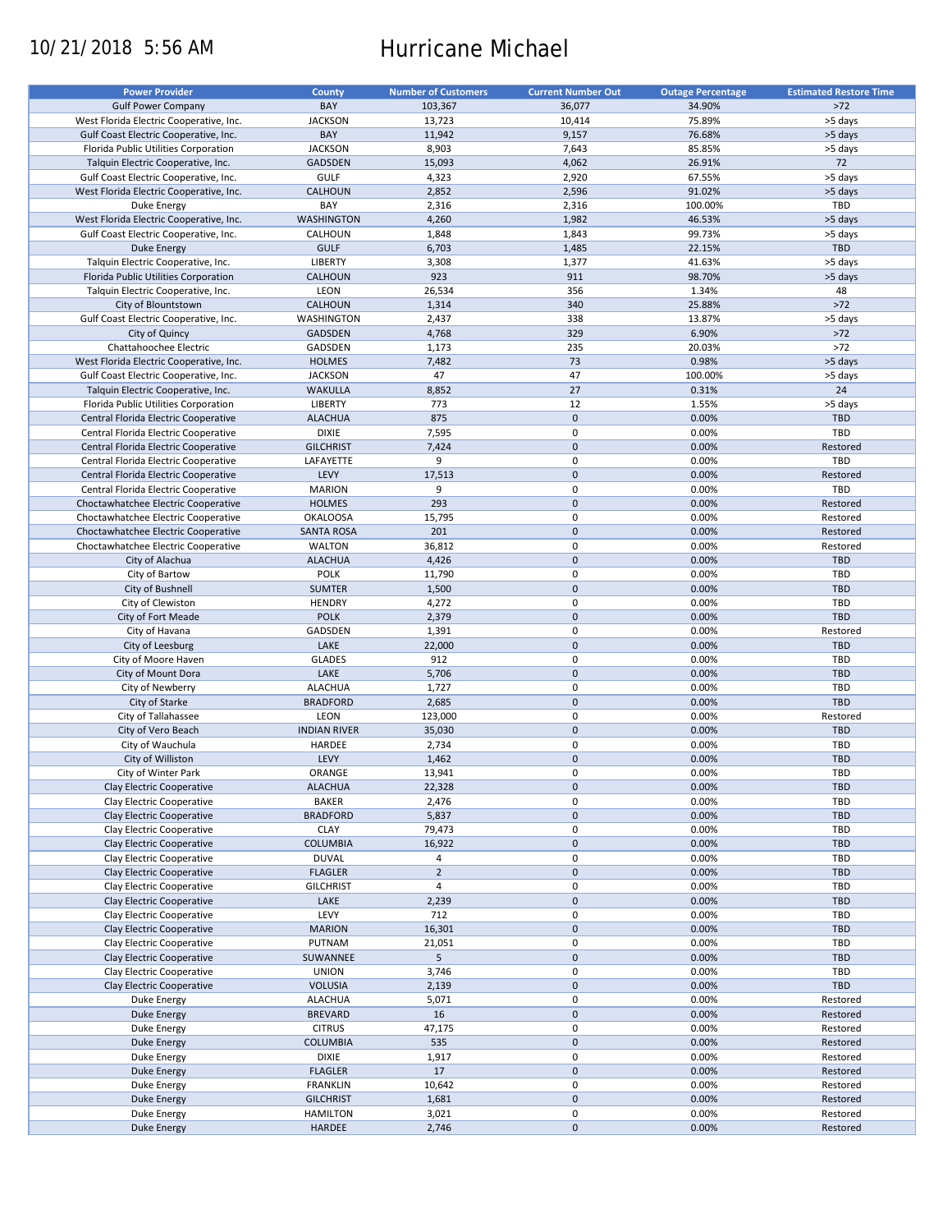# 10/21/2018 5:56 AM Hurricane Michael

| <b>Power Provider</b>                   | <b>County</b>       | <b>Number of Customers</b> | <b>Current Number Out</b> | <b>Outage Percentage</b> | <b>Estimated Restore Time</b> |
|-----------------------------------------|---------------------|----------------------------|---------------------------|--------------------------|-------------------------------|
|                                         |                     |                            |                           |                          |                               |
| <b>Gulf Power Company</b>               | BAY                 | 103,367                    | 36,077                    | 34.90%                   | $>72$                         |
| West Florida Electric Cooperative, Inc. | <b>JACKSON</b>      | 13,723                     | 10,414                    | 75.89%                   | >5 days                       |
| Gulf Coast Electric Cooperative, Inc.   | BAY                 | 11,942                     | 9,157                     | 76.68%                   | >5 days                       |
| Florida Public Utilities Corporation    | <b>JACKSON</b>      | 8,903                      | 7,643                     | 85.85%                   | >5 days                       |
| Talquin Electric Cooperative, Inc.      | <b>GADSDEN</b>      | 15,093                     | 4,062                     | 26.91%                   | 72                            |
| Gulf Coast Electric Cooperative, Inc.   | <b>GULF</b>         | 4,323                      | 2,920                     | 67.55%                   | >5 days                       |
|                                         |                     |                            |                           |                          |                               |
| West Florida Electric Cooperative, Inc. | <b>CALHOUN</b>      | 2,852                      | 2,596                     | 91.02%                   | >5 days                       |
| Duke Energy                             | BAY                 | 2,316                      | 2,316                     | 100.00%                  | TBD                           |
| West Florida Electric Cooperative, Inc. | <b>WASHINGTON</b>   | 4,260                      | 1,982                     | 46.53%                   | >5 days                       |
| Gulf Coast Electric Cooperative, Inc.   | CALHOUN             | 1,848                      | 1,843                     | 99.73%                   | >5 days                       |
| Duke Energy                             | <b>GULF</b>         | 6,703                      | 1,485                     | 22.15%                   | TBD                           |
| Talquin Electric Cooperative, Inc.      | <b>LIBERTY</b>      | 3,308                      | 1,377                     | 41.63%                   | >5 days                       |
| Florida Public Utilities Corporation    | CALHOUN             | 923                        | 911                       | 98.70%                   | >5 days                       |
|                                         |                     |                            |                           |                          |                               |
| Talquin Electric Cooperative, Inc.      | LEON                | 26,534                     | 356                       | 1.34%                    | 48                            |
| City of Blountstown                     | <b>CALHOUN</b>      | 1,314                      | 340                       | 25.88%                   | $>72$                         |
| Gulf Coast Electric Cooperative, Inc.   | WASHINGTON          | 2,437                      | 338                       | 13.87%                   | >5 days                       |
| City of Quincy                          | GADSDEN             | 4,768                      | 329                       | 6.90%                    | $>72$                         |
| Chattahoochee Electric                  | GADSDEN             | 1,173                      | 235                       | 20.03%                   | $>72$                         |
| West Florida Electric Cooperative, Inc. | <b>HOLMES</b>       | 7,482                      | 73                        | 0.98%                    | >5 days                       |
|                                         |                     |                            |                           |                          |                               |
| Gulf Coast Electric Cooperative, Inc.   | <b>JACKSON</b>      | 47                         | 47                        | 100.00%                  | >5 days                       |
| Talquin Electric Cooperative, Inc.      | <b>WAKULLA</b>      | 8,852                      | 27                        | 0.31%                    | 24                            |
| Florida Public Utilities Corporation    | LIBERTY             | 773                        | 12                        | 1.55%                    | >5 days                       |
| Central Florida Electric Cooperative    | <b>ALACHUA</b>      | 875                        | $\mathbf 0$               | 0.00%                    | <b>TBD</b>                    |
| Central Florida Electric Cooperative    | <b>DIXIE</b>        | 7,595                      | 0                         | 0.00%                    | TBD                           |
| Central Florida Electric Cooperative    | <b>GILCHRIST</b>    | 7,424                      | $\mathbf 0$               | 0.00%                    | Restored                      |
|                                         |                     |                            | $\mathbf 0$               |                          | TBD                           |
| Central Florida Electric Cooperative    | LAFAYETTE           | 9                          |                           | 0.00%                    |                               |
| Central Florida Electric Cooperative    | LEVY                | 17,513                     | $\mathbf 0$               | 0.00%                    | Restored                      |
| Central Florida Electric Cooperative    | <b>MARION</b>       | 9                          | $\pmb{0}$                 | 0.00%                    | TBD                           |
| Choctawhatchee Electric Cooperative     | <b>HOLMES</b>       | 293                        | $\mathbf 0$               | 0.00%                    | Restored                      |
| Choctawhatchee Electric Cooperative     | <b>OKALOOSA</b>     | 15,795                     | $\pmb{0}$                 | 0.00%                    | Restored                      |
| Choctawhatchee Electric Cooperative     | <b>SANTA ROSA</b>   | 201                        | $\mathbf 0$               | 0.00%                    | Restored                      |
| Choctawhatchee Electric Cooperative     | <b>WALTON</b>       | 36,812                     | 0                         | 0.00%                    | Restored                      |
|                                         |                     |                            | $\mathbf 0$               | 0.00%                    | <b>TBD</b>                    |
| City of Alachua                         | <b>ALACHUA</b>      | 4,426                      |                           |                          |                               |
| City of Bartow                          | <b>POLK</b>         | 11,790                     | 0                         | 0.00%                    | TBD                           |
| City of Bushnell                        | <b>SUMTER</b>       | 1,500                      | $\mathbf 0$               | 0.00%                    | <b>TBD</b>                    |
| City of Clewiston                       | <b>HENDRY</b>       | 4,272                      | 0                         | 0.00%                    | TBD                           |
| City of Fort Meade                      | <b>POLK</b>         | 2,379                      | $\mathbf 0$               | 0.00%                    | TBD                           |
| City of Havana                          | GADSDEN             | 1,391                      | $\pmb{0}$                 | 0.00%                    | Restored                      |
| City of Leesburg                        | LAKE                | 22,000                     | $\mathbf 0$               | 0.00%                    | <b>TBD</b>                    |
|                                         | <b>GLADES</b>       | 912                        | $\mathbf 0$               | 0.00%                    | TBD                           |
| City of Moore Haven                     |                     |                            |                           |                          |                               |
| City of Mount Dora                      | LAKE                | 5,706                      | $\pmb{0}$                 | 0.00%                    | TBD                           |
| City of Newberry                        | <b>ALACHUA</b>      | 1,727                      | $\pmb{0}$                 | 0.00%                    | TBD                           |
| City of Starke                          | <b>BRADFORD</b>     | 2,685                      | $\mathbf 0$               | 0.00%                    | TBD                           |
| City of Tallahassee                     | LEON                | 123,000                    | 0                         | 0.00%                    | Restored                      |
| City of Vero Beach                      | <b>INDIAN RIVER</b> | 35,030                     | $\mathbf 0$               | 0.00%                    | <b>TBD</b>                    |
| City of Wauchula                        | HARDEE              | 2,734                      | 0                         | 0.00%                    | TBD                           |
| City of Williston                       | LEVY                | 1,462                      | $\mathbf 0$               | 0.00%                    | <b>TBD</b>                    |
|                                         |                     |                            |                           |                          |                               |
| City of Winter Park                     | ORANGE              | 13,941                     | $\mathbf 0$               | 0.00%                    | TBD                           |
| Clay Electric Cooperative               | <b>ALACHUA</b>      | 22,328                     | $\pmb{0}$                 | 0.00%                    | TBD                           |
| Clay Electric Cooperative               | <b>BAKER</b>        | 2,476                      | 0                         | 0.00%                    | TBD                           |
| Clay Electric Cooperative               | <b>BRADFORD</b>     | 5,837                      | $\pmb{0}$                 | 0.00%                    | <b>TBD</b>                    |
| Clay Electric Cooperative               | <b>CLAY</b>         | 79,473                     | 0                         | 0.00%                    | TBD                           |
| Clay Electric Cooperative               | <b>COLUMBIA</b>     | 16,922                     | $\mathsf{O}\xspace$       | 0.00%                    | TBD                           |
| Clay Electric Cooperative               | <b>DUVAL</b>        | 4                          | 0                         | 0.00%                    | TBD                           |
|                                         |                     |                            |                           |                          |                               |
| Clay Electric Cooperative               | <b>FLAGLER</b>      | $\mathbf 2$                | $\mathsf{O}\xspace$       | 0.00%                    | TBD                           |
| Clay Electric Cooperative               | <b>GILCHRIST</b>    | $\overline{4}$             | 0                         | 0.00%                    | TBD                           |
| Clay Electric Cooperative               | LAKE                | 2,239                      | $\mathsf{O}\xspace$       | 0.00%                    | <b>TBD</b>                    |
| Clay Electric Cooperative               | LEVY                | 712                        | 0                         | 0.00%                    | TBD                           |
| Clay Electric Cooperative               | <b>MARION</b>       | 16,301                     | $\pmb{0}$                 | 0.00%                    | <b>TBD</b>                    |
| Clay Electric Cooperative               | PUTNAM              | 21,051                     | 0                         | 0.00%                    | TBD                           |
| Clay Electric Cooperative               | SUWANNEE            | 5                          | $\pmb{0}$                 | 0.00%                    | <b>TBD</b>                    |
|                                         |                     |                            |                           |                          |                               |
| Clay Electric Cooperative               | <b>UNION</b>        | 3,746                      | $\pmb{0}$                 | 0.00%                    | TBD                           |
| Clay Electric Cooperative               | <b>VOLUSIA</b>      | 2,139                      | $\pmb{0}$                 | 0.00%                    | TBD                           |
| Duke Energy                             | <b>ALACHUA</b>      | 5,071                      | $\pmb{0}$                 | 0.00%                    | Restored                      |
| <b>Duke Energy</b>                      | <b>BREVARD</b>      | 16                         | $\pmb{0}$                 | 0.00%                    | Restored                      |
| Duke Energy                             | <b>CITRUS</b>       | 47,175                     | $\pmb{0}$                 | 0.00%                    | Restored                      |
| Duke Energy                             | <b>COLUMBIA</b>     | 535                        | $\pmb{0}$                 | 0.00%                    | Restored                      |
| Duke Energy                             | DIXIE               | 1,917                      | 0                         | 0.00%                    | Restored                      |
|                                         |                     |                            |                           |                          |                               |
| <b>Duke Energy</b>                      | <b>FLAGLER</b>      | 17                         | $\pmb{0}$                 | 0.00%                    | Restored                      |
| Duke Energy                             | <b>FRANKLIN</b>     | 10,642                     | 0                         | 0.00%                    | Restored                      |
| <b>Duke Energy</b>                      | <b>GILCHRIST</b>    | 1,681                      | $\pmb{0}$                 | 0.00%                    | Restored                      |
| Duke Energy                             | <b>HAMILTON</b>     | 3,021                      | $\pmb{0}$                 | 0.00%                    | Restored                      |
| Duke Energy                             | HARDEE              | 2,746                      | $\pmb{0}$                 | 0.00%                    | Restored                      |
|                                         |                     |                            |                           |                          |                               |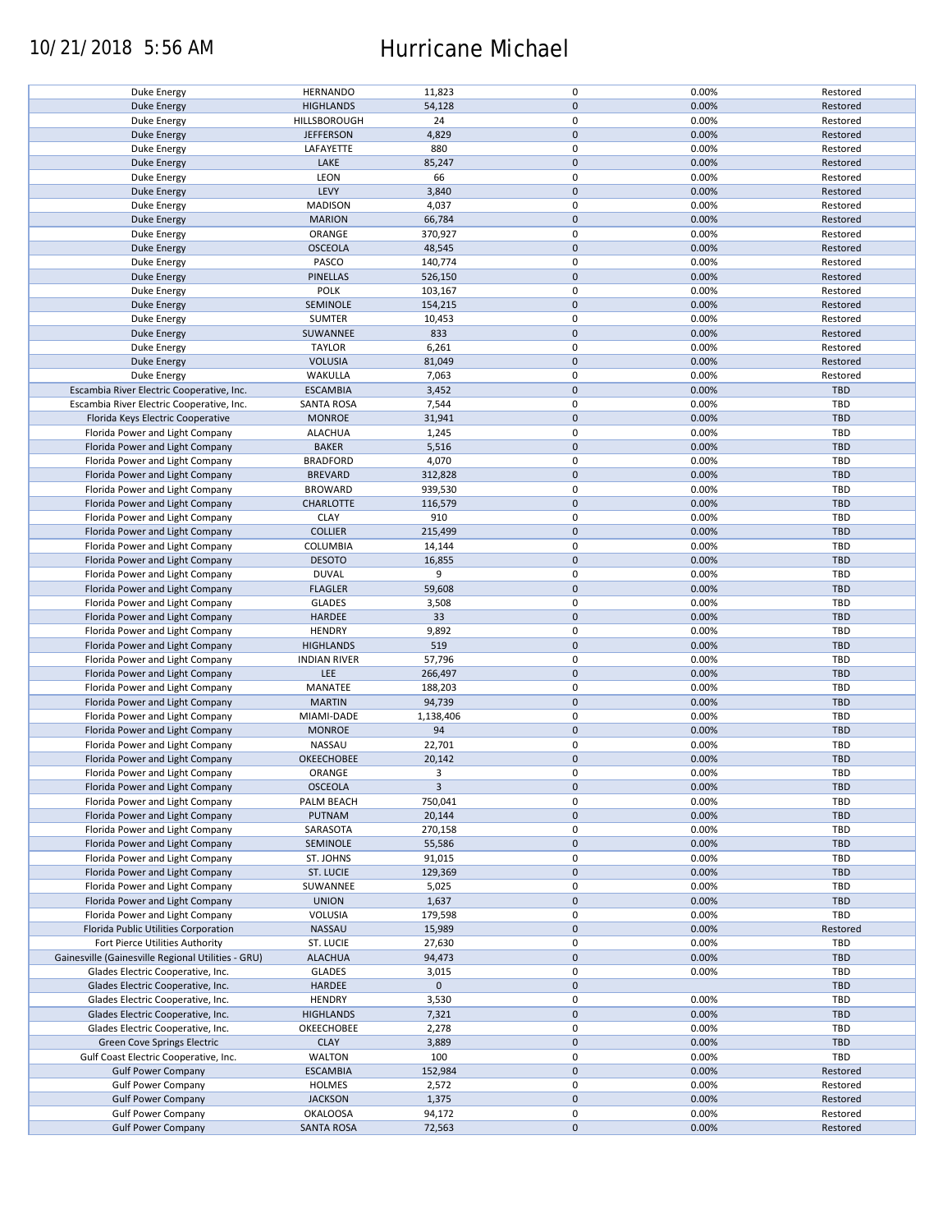### 10/21/2018 5:56 AM Hurricane Michael

| Duke Energy                                        | <b>HERNANDO</b>     | 11,823       | 0                   | 0.00% | Restored   |
|----------------------------------------------------|---------------------|--------------|---------------------|-------|------------|
| <b>Duke Energy</b>                                 | <b>HIGHLANDS</b>    | 54,128       | $\mathbf 0$         | 0.00% | Restored   |
|                                                    |                     |              |                     |       |            |
| Duke Energy                                        | HILLSBOROUGH        | 24           | 0                   | 0.00% | Restored   |
| Duke Energy                                        | <b>JEFFERSON</b>    | 4,829        | $\mathbf 0$         | 0.00% | Restored   |
|                                                    |                     | 880          | 0                   | 0.00% |            |
| Duke Energy                                        | LAFAYETTE           |              |                     |       | Restored   |
| <b>Duke Energy</b>                                 | LAKE                | 85,247       | $\mathbf 0$         | 0.00% | Restored   |
| Duke Energy                                        | LEON                | 66           | 0                   | 0.00% | Restored   |
| <b>Duke Energy</b>                                 | LEVY                | 3,840        | $\mathbf 0$         | 0.00% | Restored   |
|                                                    |                     |              |                     |       |            |
| Duke Energy                                        | <b>MADISON</b>      | 4,037        | 0                   | 0.00% | Restored   |
| <b>Duke Energy</b>                                 | <b>MARION</b>       | 66,784       | $\mathbf 0$         | 0.00% | Restored   |
| Duke Energy                                        | ORANGE              | 370,927      | 0                   | 0.00% | Restored   |
|                                                    |                     |              |                     |       |            |
| <b>Duke Energy</b>                                 | <b>OSCEOLA</b>      | 48,545       | $\mathbf 0$         | 0.00% | Restored   |
| Duke Energy                                        | PASCO               | 140,774      | 0                   | 0.00% | Restored   |
| Duke Energy                                        | PINELLAS            | 526,150      | $\mathbf 0$         | 0.00% | Restored   |
|                                                    |                     |              |                     |       |            |
| Duke Energy                                        | POLK                | 103,167      | 0                   | 0.00% | Restored   |
| <b>Duke Energy</b>                                 | SEMINOLE            | 154,215      | $\mathbf 0$         | 0.00% | Restored   |
| Duke Energy                                        | <b>SUMTER</b>       | 10,453       | 0                   | 0.00% | Restored   |
|                                                    |                     |              |                     |       |            |
| <b>Duke Energy</b>                                 | SUWANNEE            | 833          | $\pmb{0}$           | 0.00% | Restored   |
| Duke Energy                                        | <b>TAYLOR</b>       | 6,261        | 0                   | 0.00% | Restored   |
| <b>Duke Energy</b>                                 | <b>VOLUSIA</b>      | 81,049       | $\pmb{0}$           | 0.00% | Restored   |
|                                                    |                     |              |                     |       |            |
| Duke Energy                                        | WAKULLA             | 7,063        | 0                   | 0.00% | Restored   |
| Escambia River Electric Cooperative, Inc.          | <b>ESCAMBIA</b>     | 3,452        | $\pmb{0}$           | 0.00% | TBD        |
| Escambia River Electric Cooperative, Inc.          | <b>SANTA ROSA</b>   | 7,544        | $\pmb{0}$           | 0.00% | TBD        |
|                                                    |                     |              |                     |       |            |
| Florida Keys Electric Cooperative                  | <b>MONROE</b>       | 31,941       | $\pmb{0}$           | 0.00% | <b>TBD</b> |
| Florida Power and Light Company                    | <b>ALACHUA</b>      | 1,245        | 0                   | 0.00% | <b>TBD</b> |
| Florida Power and Light Company                    | <b>BAKER</b>        |              | $\pmb{0}$           | 0.00% | <b>TBD</b> |
|                                                    |                     | 5,516        |                     |       |            |
| Florida Power and Light Company                    | <b>BRADFORD</b>     | 4,070        | 0                   | 0.00% | <b>TBD</b> |
| Florida Power and Light Company                    | <b>BREVARD</b>      | 312,828      | $\pmb{0}$           | 0.00% | <b>TBD</b> |
|                                                    |                     |              | 0                   |       | <b>TBD</b> |
| Florida Power and Light Company                    | <b>BROWARD</b>      | 939,530      |                     | 0.00% |            |
| Florida Power and Light Company                    | <b>CHARLOTTE</b>    | 116,579      | $\mathsf{O}\xspace$ | 0.00% | <b>TBD</b> |
| Florida Power and Light Company                    | <b>CLAY</b>         | 910          | 0                   | 0.00% | TBD        |
|                                                    |                     |              |                     |       |            |
| Florida Power and Light Company                    | <b>COLLIER</b>      | 215,499      | $\pmb{0}$           | 0.00% | <b>TBD</b> |
| Florida Power and Light Company                    | COLUMBIA            | 14,144       | 0                   | 0.00% | TBD        |
| Florida Power and Light Company                    | <b>DESOTO</b>       | 16,855       | $\mathbf 0$         | 0.00% | <b>TBD</b> |
|                                                    |                     |              |                     |       |            |
| Florida Power and Light Company                    | <b>DUVAL</b>        | 9            | 0                   | 0.00% | TBD        |
| Florida Power and Light Company                    | <b>FLAGLER</b>      | 59,608       | $\pmb{0}$           | 0.00% | <b>TBD</b> |
| Florida Power and Light Company                    | <b>GLADES</b>       | 3,508        | 0                   | 0.00% | TBD        |
|                                                    |                     |              |                     |       |            |
| Florida Power and Light Company                    | HARDEE              | 33           | $\pmb{0}$           | 0.00% | <b>TBD</b> |
| Florida Power and Light Company                    | <b>HENDRY</b>       | 9,892        | $\pmb{0}$           | 0.00% | <b>TBD</b> |
| Florida Power and Light Company                    | <b>HIGHLANDS</b>    | 519          | $\mathbf 0$         | 0.00% | <b>TBD</b> |
|                                                    |                     |              |                     |       |            |
| Florida Power and Light Company                    | <b>INDIAN RIVER</b> | 57,796       | 0                   | 0.00% | TBD        |
| Florida Power and Light Company                    | LEE                 | 266,497      | $\mathbf 0$         | 0.00% | <b>TBD</b> |
| Florida Power and Light Company                    | MANATEE             | 188,203      | $\pmb{0}$           | 0.00% | TBD        |
|                                                    |                     |              |                     |       |            |
| Florida Power and Light Company                    | <b>MARTIN</b>       | 94,739       | $\mathbf 0$         | 0.00% | <b>TBD</b> |
| Florida Power and Light Company                    | MIAMI-DADE          | 1,138,406    | 0                   | 0.00% | TBD        |
| Florida Power and Light Company                    | <b>MONROE</b>       | 94           | $\mathbf 0$         | 0.00% | <b>TBD</b> |
|                                                    |                     |              |                     |       |            |
| Florida Power and Light Company                    | NASSAU              | 22,701       | 0                   | 0.00% | TBD        |
| Florida Power and Light Company                    | <b>OKEECHOBEE</b>   | 20,142       | $\mathbf 0$         | 0.00% | <b>TBD</b> |
| Florida Power and Light Company                    | ORANGE              | 3            | 0                   | 0.00% | <b>TBD</b> |
|                                                    |                     |              |                     |       |            |
| Florida Power and Light Company                    | <b>OSCEOLA</b>      | $\mathbf{3}$ | $\pmb{0}$           | 0.00% | <b>TBD</b> |
| Florida Power and Light Company                    | PALM BEACH          | 750,041      | 0                   | 0.00% | <b>TBD</b> |
| Florida Power and Light Company                    | PUTNAM              | 20,144       | $\mathbf 0$         | 0.00% | <b>TBD</b> |
|                                                    |                     |              |                     |       |            |
| Florida Power and Light Company                    | SARASOTA            | 270,158      | 0                   | 0.00% | <b>TBD</b> |
| Florida Power and Light Company                    | SEMINOLE            | 55,586       | $\mathsf{O}\xspace$ | 0.00% | <b>TBD</b> |
| Florida Power and Light Company                    | ST. JOHNS           | 91,015       | 0                   | 0.00% | <b>TBD</b> |
|                                                    |                     |              |                     |       |            |
| Florida Power and Light Company                    | ST. LUCIE           | 129,369      | $\mathsf{O}\xspace$ | 0.00% | <b>TBD</b> |
| Florida Power and Light Company                    | SUWANNEE            | 5,025        | 0                   | 0.00% | <b>TBD</b> |
| Florida Power and Light Company                    | <b>UNION</b>        |              | $\mathsf{O}\xspace$ | 0.00% |            |
|                                                    |                     | 1,637        |                     |       | <b>TBD</b> |
| Florida Power and Light Company                    | VOLUSIA             | 179,598      | 0                   | 0.00% | TBD        |
| Florida Public Utilities Corporation               | <b>NASSAU</b>       | 15,989       | $\pmb{0}$           | 0.00% | Restored   |
|                                                    |                     |              |                     |       |            |
| Fort Pierce Utilities Authority                    | ST. LUCIE           | 27,630       | 0                   | 0.00% | TBD        |
| Gainesville (Gainesville Regional Utilities - GRU) | <b>ALACHUA</b>      | 94,473       | $\mathsf{O}\xspace$ | 0.00% | TBD        |
| Glades Electric Cooperative, Inc.                  | <b>GLADES</b>       | 3,015        | 0                   | 0.00% | TBD        |
|                                                    |                     |              | $\mathbf 0$         |       |            |
| Glades Electric Cooperative, Inc.                  | <b>HARDEE</b>       | $\mathbf 0$  |                     |       | <b>TBD</b> |
| Glades Electric Cooperative, Inc.                  | <b>HENDRY</b>       | 3,530        | 0                   | 0.00% | <b>TBD</b> |
| Glades Electric Cooperative, Inc.                  | <b>HIGHLANDS</b>    | 7,321        | $\pmb{0}$           | 0.00% | TBD        |
|                                                    |                     |              |                     |       |            |
| Glades Electric Cooperative, Inc.                  | OKEECHOBEE          | 2,278        | 0                   | 0.00% | TBD        |
| Green Cove Springs Electric                        | <b>CLAY</b>         | 3,889        | $\pmb{0}$           | 0.00% | TBD        |
| Gulf Coast Electric Cooperative, Inc.              | <b>WALTON</b>       | 100          | 0                   | 0.00% | TBD        |
|                                                    |                     |              |                     |       |            |
| <b>Gulf Power Company</b>                          | <b>ESCAMBIA</b>     | 152,984      | $\mathsf{O}\xspace$ | 0.00% | Restored   |
| <b>Gulf Power Company</b>                          | <b>HOLMES</b>       | 2,572        | 0                   | 0.00% | Restored   |
| <b>Gulf Power Company</b>                          | <b>JACKSON</b>      | 1,375        | $\pmb{0}$           | 0.00% | Restored   |
|                                                    |                     |              |                     |       |            |
| <b>Gulf Power Company</b>                          | <b>OKALOOSA</b>     | 94,172       | 0                   | 0.00% | Restored   |
| <b>Gulf Power Company</b>                          | <b>SANTA ROSA</b>   | 72,563       | $\mathsf{O}\xspace$ | 0.00% | Restored   |
|                                                    |                     |              |                     |       |            |